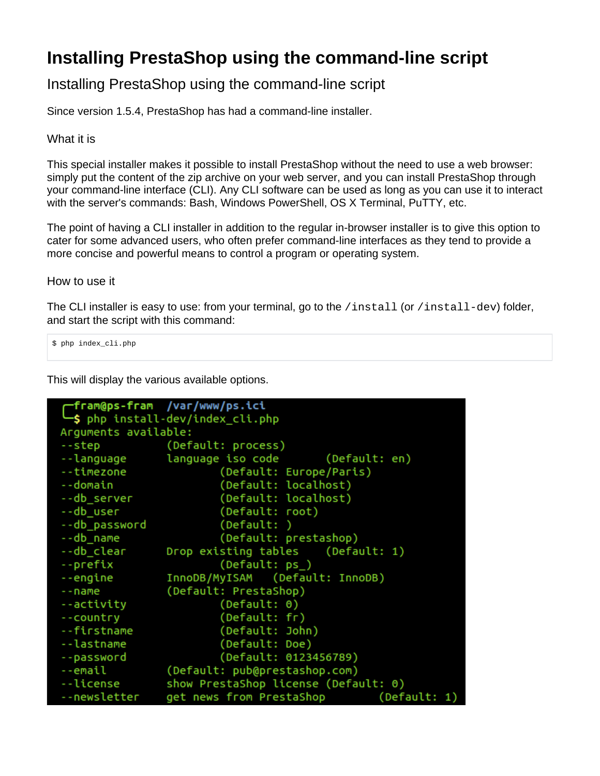## **Installing PrestaShop using the command-line script**

## Installing PrestaShop using the command-line script

Since version 1.5.4, PrestaShop has had a command-line installer.

What it is

This special installer makes it possible to install PrestaShop without the need to use a web browser: simply put the content of the zip archive on your web server, and you can install PrestaShop through your command-line interface (CLI). Any CLI software can be used as long as you can use it to interact with the server's commands: Bash, Windows PowerShell, OS X Terminal, PuTTY, etc.

The point of having a CLI installer in addition to the regular in-browser installer is to give this option to cater for some advanced users, who often prefer command-line interfaces as they tend to provide a more concise and powerful means to control a program or operating system.

How to use it

The CLI installer is easy to use: from your terminal, go to the /install (or /install-dev) folder, and start the script with this command:

\$ php index\_cli.php

This will display the various available options.

```
/var/www/ps.ici
  fram@ps-fram
  $ php install-dev/index_cli.php
Arguments available:
                 (Default: process)
--step
--language
                 language iso code
                                          (Default: en)
--timezone
                         (Default: Europe/Paris)
--domain
                         (Default: localhost)
--db server
                         (Default: localhost)
--db user
                         (Default: root)
--db_password
                         (Default: )
                         (Default: prestashop)
--db_name
--db clear
                Drop existing tables
                                          (Default: 1)
--prefix
                         (Default: ps_)
                 InnoDB/MyISAM
                                 (Default: InnoDB)
--engine
--name
                 (Default: PrestaShop)
                         (Default: 0)
--activity
                         (Default: fr)
--country
                         (Default: John)
--firstname
--lastname
                         (Default: Doe)
                         (Default: 0123456789)
--password
--email
                 (Default: pub@prestashop.com)
--license
                 show PrestaShop license (Default: 0)
                get news from PrestaShop
--newsletter
                                                  (Default: 1)
```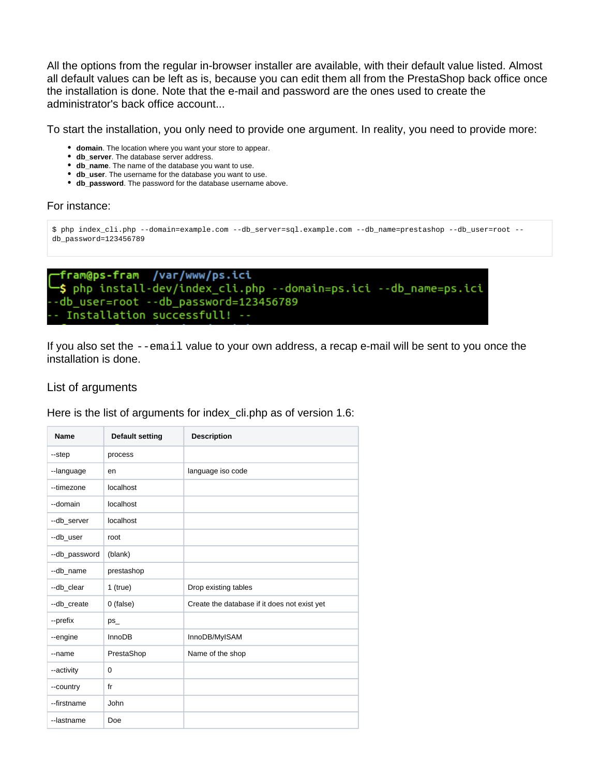All the options from the regular in-browser installer are available, with their default value listed. Almost all default values can be left as is, because you can edit them all from the PrestaShop back office once the installation is done. Note that the e-mail and password are the ones used to create the administrator's back office account...

To start the installation, you only need to provide one argument. In reality, you need to provide more:

- **domain**. The location where you want your store to appear.
- **db\_server**. The database server address.
- **db\_name**. The name of the database you want to use.
- **db\_user**. The username for the database you want to use.
- **db\_password**. The password for the database username above.

## For instance:

```
$ php index_cli.php --domain=example.com --db_server=sql.example.com --db_name=prestashop --db_user=root --
db_password=123456789
```

```
fram@ps-fram /var/www/ps.ici
$ php install-dev/index_cli.php --domain=ps.ici --db_name=ps.ici
-db_user=root --db_password=123456789
- Installation successfull! --
```
If you also set the  $-\text{email}$  value to your own address, a recap e-mail will be sent to you once the installation is done.

## List of arguments

Here is the list of arguments for index cli.php as of version 1.6:

| <b>Name</b>   | Default setting | <b>Description</b>                           |
|---------------|-----------------|----------------------------------------------|
| --step        | process         |                                              |
| --language    | en              | language iso code                            |
| --timezone    | localhost       |                                              |
| --domain      | localhost       |                                              |
| --db server   | localhost       |                                              |
| --db user     | root            |                                              |
| --db_password | (blank)         |                                              |
| --db name     | prestashop      |                                              |
| --db_clear    | $1$ (true)      | Drop existing tables                         |
| --db_create   | 0 (false)       | Create the database if it does not exist yet |
| --prefix      | $ps_{-}$        |                                              |
| --engine      | <b>InnoDB</b>   | InnoDB/MyISAM                                |
| --name        | PrestaShop      | Name of the shop                             |
| --activity    | 0               |                                              |
| --country     | fr              |                                              |
| --firstname   | John            |                                              |
| --lastname    | Doe             |                                              |